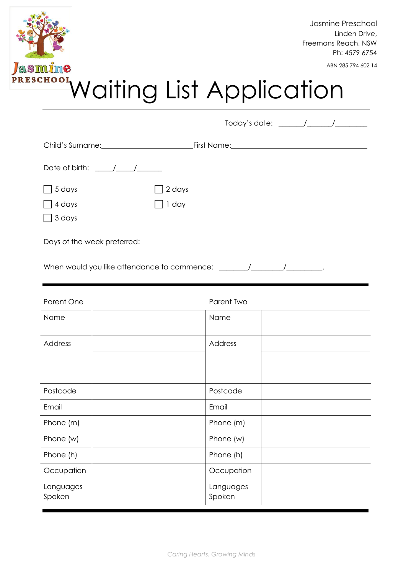

| Child's Surname: <u>Child's Surname</u>                                                                                                                                                                                                                                                                                                                                                                           |                 |  |
|-------------------------------------------------------------------------------------------------------------------------------------------------------------------------------------------------------------------------------------------------------------------------------------------------------------------------------------------------------------------------------------------------------------------|-----------------|--|
| Date of birth: $\frac{1}{\sqrt{1-\frac{1}{2}}}\frac{1}{\sqrt{1-\frac{1}{2}}}\frac{1}{\sqrt{1-\frac{1}{2}}}\frac{1}{\sqrt{1-\frac{1}{2}}}\frac{1}{\sqrt{1-\frac{1}{2}}}\frac{1}{\sqrt{1-\frac{1}{2}}}\frac{1}{\sqrt{1-\frac{1}{2}}}\frac{1}{\sqrt{1-\frac{1}{2}}}\frac{1}{\sqrt{1-\frac{1}{2}}}\frac{1}{\sqrt{1-\frac{1}{2}}}\frac{1}{\sqrt{1-\frac{1}{2}}}\frac{1}{\sqrt{1-\frac{1}{2}}}\frac{1}{\sqrt{1-\frac{1$ |                 |  |
| 5 days<br>4 days<br>3 days                                                                                                                                                                                                                                                                                                                                                                                        | 2 days<br>1 day |  |
| Days of the week preferred:                                                                                                                                                                                                                                                                                                                                                                                       |                 |  |

When would you like attendance to commence: \_\_\_\_\_\_\_\_/\_\_\_\_\_\_\_\_\_/\_\_\_\_\_\_\_\_\_\_.

| Parent One          | Parent Two          |
|---------------------|---------------------|
| Name                | Name                |
| Address             | Address             |
|                     |                     |
|                     |                     |
| Postcode            | Postcode            |
| Email               | Email               |
| Phone (m)           | Phone (m)           |
| Phone (w)           | Phone (w)           |
| Phone (h)           | Phone (h)           |
| Occupation          | Occupation          |
| Languages<br>Spoken | Languages<br>Spoken |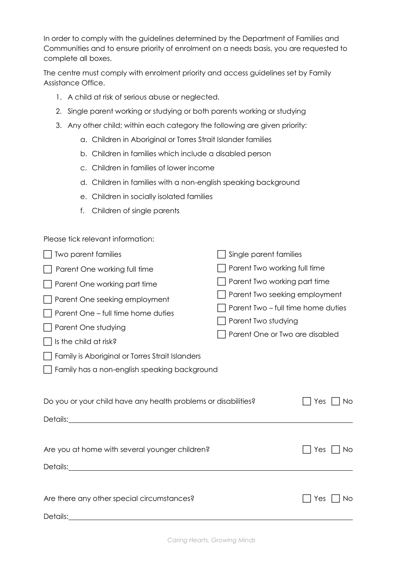In order to comply with the guidelines determined by the Department of Families and Communities and to ensure priority of enrolment on a needs basis, you are requested to complete all boxes.

The centre must comply with enrolment priority and access guidelines set by Family Assistance Office.

- 1. A child at risk of serious abuse or neglected.
- 2. Single parent working or studying or both parents working or studying
- 3. Any other child; within each category the following are given priority:
	- a. Children in Aboriginal or Torres Strait Islander families
	- b. Children in families which include a disabled person
	- c. Children in families of lower income
	- d. Children in families with a non-english speaking background
	- e. Children in socially isolated families
	- f. Children of single parents

Please tick relevant information:

| Two parent families                                                                                                                                                                                                                                    | Single parent families                                                                                                                                       |  |  |  |  |  |
|--------------------------------------------------------------------------------------------------------------------------------------------------------------------------------------------------------------------------------------------------------|--------------------------------------------------------------------------------------------------------------------------------------------------------------|--|--|--|--|--|
| Parent One working full time                                                                                                                                                                                                                           | Parent Two working full time                                                                                                                                 |  |  |  |  |  |
| Parent One working part time<br>Parent One seeking employment<br>Parent One – full time home duties<br>Parent One studying<br>Is the child at risk?<br>Family is Aboriginal or Torres Strait Islanders<br>Family has a non-english speaking background | Parent Two working part time<br>Parent Two seeking employment<br>Parent Two – full time home duties<br>Parent Two studying<br>Parent One or Two are disabled |  |  |  |  |  |
| Do you or your child have any health problems or disabilities?                                                                                                                                                                                         | Yes                                                                                                                                                          |  |  |  |  |  |
| Details: <u>Details:</u>                                                                                                                                                                                                                               | No.                                                                                                                                                          |  |  |  |  |  |
| Are you at home with several younger children?                                                                                                                                                                                                         | Yes                                                                                                                                                          |  |  |  |  |  |
|                                                                                                                                                                                                                                                        | No.                                                                                                                                                          |  |  |  |  |  |
| Are there any other special circumstances?                                                                                                                                                                                                             | Yes                                                                                                                                                          |  |  |  |  |  |
| Details:                                                                                                                                                                                                                                               | No                                                                                                                                                           |  |  |  |  |  |